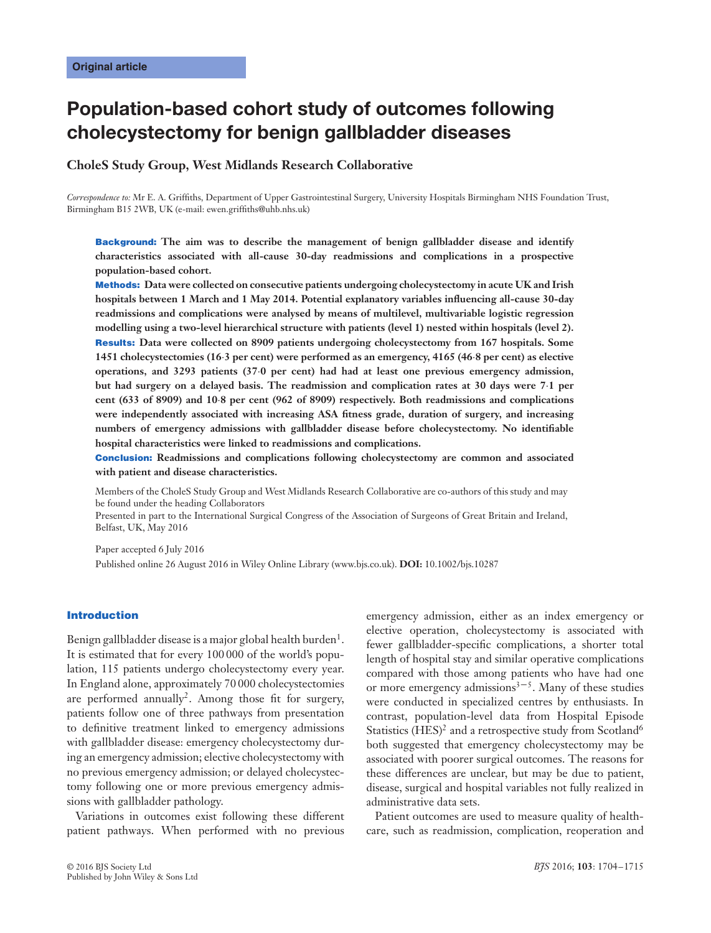# **Population-based cohort study of outcomes following cholecystectomy for benign gallbladder diseases**

**CholeS Study Group, West Midlands Research Collaborative**

*Correspondence to:* Mr E. A. Griffiths, Department of Upper Gastrointestinal Surgery, University Hospitals Birmingham NHS Foundation Trust, Birmingham B15 2WB, UK (e-mail: ewen.griffiths@uhb.nhs.uk)

**Background: The aim was to describe the management of benign gallbladder disease and identify characteristics associated with all-cause 30-day readmissions and complications in a prospective population-based cohort.**

**Methods: Data were collected on consecutive patients undergoing cholecystectomy in acute UK and Irish hospitals between 1 March and 1 May 2014. Potential explanatory variables influencing all-cause 30-day readmissions and complications were analysed by means of multilevel, multivariable logistic regression modelling using a two-level hierarchical structure with patients (level 1) nested within hospitals (level 2). Results: Data were collected on 8909 patients undergoing cholecystectomy from 167 hospitals. Some 1451 cholecystectomies (16⋅3 per cent) were performed as an emergency, 4165 (46⋅8 per cent) as elective operations, and 3293 patients (37⋅0 per cent) had had at least one previous emergency admission, but had surgery on a delayed basis. The readmission and complication rates at 30 days were 7⋅1 per cent (633 of 8909) and 10⋅8 per cent (962 of 8909) respectively. Both readmissions and complications were independently associated with increasing ASA fitness grade, duration of surgery, and increasing numbers of emergency admissions with gallbladder disease before cholecystectomy. No identifiable hospital characteristics were linked to readmissions and complications.**

**Conclusion: Readmissions and complications following cholecystectomy are common and associated with patient and disease characteristics.**

Members of the CholeS Study Group and West Midlands Research Collaborative are co-authors of this study and may be found under the heading Collaborators

Presented in part to the International Surgical Congress of the Association of Surgeons of Great Britain and Ireland, Belfast, UK, May 2016

Paper accepted 6 July 2016 Published online 26 August 2016 in Wiley Online Library (www.bjs.co.uk). **DOI:** 10.1002/bjs.10287

#### **Introduction**

Benign gallbladder disease is a major global health burden<sup>1</sup>. It is estimated that for every 100 000 of the world's population, 115 patients undergo cholecystectomy every year. In England alone, approximately 70 000 cholecystectomies are performed annually<sup>2</sup>. Among those fit for surgery, patients follow one of three pathways from presentation to definitive treatment linked to emergency admissions with gallbladder disease: emergency cholecystectomy during an emergency admission; elective cholecystectomy with no previous emergency admission; or delayed cholecystectomy following one or more previous emergency admissions with gallbladder pathology.

Variations in outcomes exist following these different patient pathways. When performed with no previous

emergency admission, either as an index emergency or elective operation, cholecystectomy is associated with fewer gallbladder-specific complications, a shorter total length of hospital stay and similar operative complications compared with those among patients who have had one or more emergency admissions $3-5$ . Many of these studies were conducted in specialized centres by enthusiasts. In contrast, population-level data from Hospital Episode Statistics  $(HES)^2$  and a retrospective study from Scotland<sup>6</sup> both suggested that emergency cholecystectomy may be associated with poorer surgical outcomes. The reasons for these differences are unclear, but may be due to patient, disease, surgical and hospital variables not fully realized in administrative data sets.

Patient outcomes are used to measure quality of healthcare, such as readmission, complication, reoperation and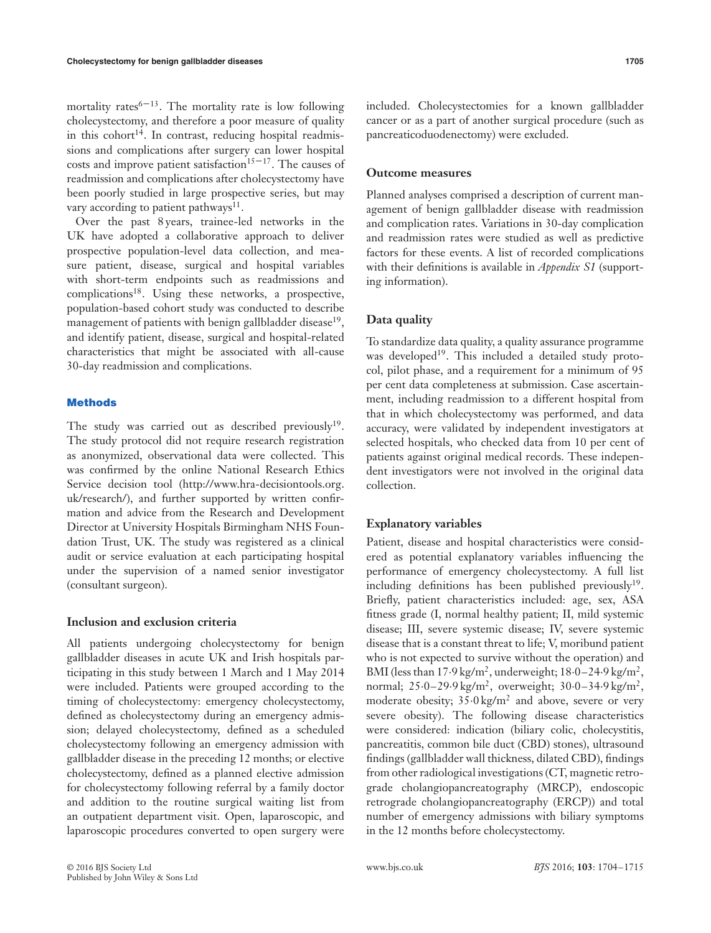mortality rates $6-13$ . The mortality rate is low following cholecystectomy, and therefore a poor measure of quality in this cohort<sup>14</sup>. In contrast, reducing hospital readmissions and complications after surgery can lower hospital costs and improve patient satisfaction<sup>15-17</sup>. The causes of readmission and complications after cholecystectomy have been poorly studied in large prospective series, but may vary according to patient pathways<sup>11</sup>.

Over the past 8 years, trainee-led networks in the UK have adopted a collaborative approach to deliver prospective population-level data collection, and measure patient, disease, surgical and hospital variables with short-term endpoints such as readmissions and complications18. Using these networks, a prospective, population-based cohort study was conducted to describe management of patients with benign gallbladder disease $19$ , and identify patient, disease, surgical and hospital-related characteristics that might be associated with all-cause 30-day readmission and complications.

#### **Methods**

The study was carried out as described previously<sup>19</sup>. The study protocol did not require research registration as anonymized, observational data were collected. This was confirmed by the online National Research Ethics Service decision tool (http://www.hra-decisiontools.org. uk/research/), and further supported by written confirmation and advice from the Research and Development Director at University Hospitals Birmingham NHS Foundation Trust, UK. The study was registered as a clinical audit or service evaluation at each participating hospital under the supervision of a named senior investigator (consultant surgeon).

#### **Inclusion and exclusion criteria**

All patients undergoing cholecystectomy for benign gallbladder diseases in acute UK and Irish hospitals participating in this study between 1 March and 1 May 2014 were included. Patients were grouped according to the timing of cholecystectomy: emergency cholecystectomy, defined as cholecystectomy during an emergency admission; delayed cholecystectomy, defined as a scheduled cholecystectomy following an emergency admission with gallbladder disease in the preceding 12 months; or elective cholecystectomy, defined as a planned elective admission for cholecystectomy following referral by a family doctor and addition to the routine surgical waiting list from an outpatient department visit. Open, laparoscopic, and laparoscopic procedures converted to open surgery were

included. Cholecystectomies for a known gallbladder cancer or as a part of another surgical procedure (such as pancreaticoduodenectomy) were excluded.

#### **Outcome measures**

Planned analyses comprised a description of current management of benign gallbladder disease with readmission and complication rates. Variations in 30-day complication and readmission rates were studied as well as predictive factors for these events. A list of recorded complications with their definitions is available in *Appendix S1* (supporting information).

#### **Data quality**

To standardize data quality, a quality assurance programme was developed<sup>19</sup>. This included a detailed study protocol, pilot phase, and a requirement for a minimum of 95 per cent data completeness at submission. Case ascertainment, including readmission to a different hospital from that in which cholecystectomy was performed, and data accuracy, were validated by independent investigators at selected hospitals, who checked data from 10 per cent of patients against original medical records. These independent investigators were not involved in the original data collection.

#### **Explanatory variables**

Patient, disease and hospital characteristics were considered as potential explanatory variables influencing the performance of emergency cholecystectomy. A full list including definitions has been published previously<sup>19</sup>. Briefly, patient characteristics included: age, sex, ASA fitness grade (I, normal healthy patient; II, mild systemic disease; III, severe systemic disease; IV, severe systemic disease that is a constant threat to life; V, moribund patient who is not expected to survive without the operation) and BMI (less than  $17.9 \text{ kg/m}^2$ , underweight;  $18.0-24.9 \text{ kg/m}^2$ , normal; 25⋅0–29⋅9 kg/m<sup>2</sup>, overweight; 30⋅0–34⋅9 kg/m<sup>2</sup>, moderate obesity; 35⋅0 kg/m<sup>2</sup> and above, severe or very severe obesity). The following disease characteristics were considered: indication (biliary colic, cholecystitis, pancreatitis, common bile duct (CBD) stones), ultrasound findings (gallbladder wall thickness, dilated CBD), findings from other radiological investigations (CT, magnetic retrograde cholangiopancreatography (MRCP), endoscopic retrograde cholangiopancreatography (ERCP)) and total number of emergency admissions with biliary symptoms in the 12 months before cholecystectomy.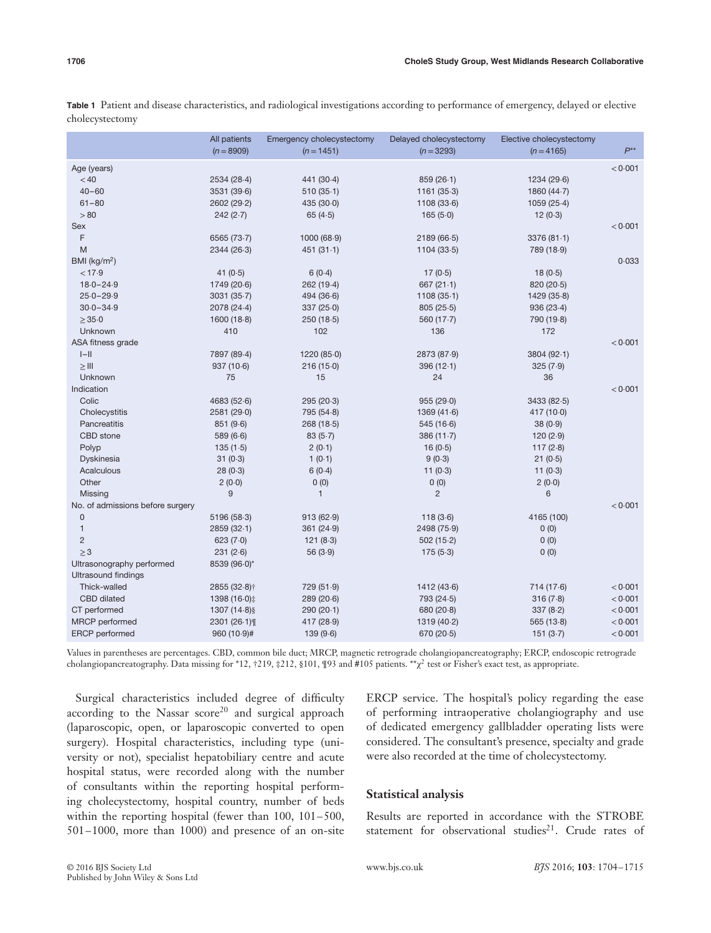|                                  | All patients    | Emergency cholecystectomy | Delayed cholecystectomy | Elective cholecystectomy |          |
|----------------------------------|-----------------|---------------------------|-------------------------|--------------------------|----------|
|                                  | $(n = 8909)$    | $(n = 1451)$              | $(n = 3293)$            | $(n = 4165)$             | $P^{**}$ |
| Age (years)                      |                 |                           |                         |                          | < 0.001  |
| < 40                             | 2534 (28.4)     | 441 (30.4)                | 859(26.1)               | 1234 (29.6)              |          |
| $40 - 60$                        | 3531(39.6)      | 510(35.1)                 | 1161(35.3)              | 1860 (44.7)              |          |
| $61 - 80$                        | 2602(29.2)      | 435(30.0)                 | 1108(33.6)              | 1059(25.4)               |          |
| > 80                             | 242(2.7)        | 65 $(4.5)$                | 165(5.0)                | 12(0.3)                  |          |
| <b>Sex</b>                       |                 |                           |                         |                          | < 0.001  |
| F                                | 6565 (73.7)     | 1000(68.9)                | 2189(66.5)              | 3376 (81-1)              |          |
| M                                | 2344 (26.3)     | 451(31.1)                 | 1104(33.5)              | 789 (18-9)               |          |
| BMI ( $kg/m2$ )                  |                 |                           |                         |                          | 0.033    |
| < 17.9                           | 41 $(0.5)$      | 6(0.4)                    | 17(0.5)                 | 18(0.5)                  |          |
| $18.0 - 24.9$                    | 1749 (20.6)     | 262 (19.4)                | 667 $(21.1)$            | 820 (20.5)               |          |
| $25.0 - 29.9$                    | 3031(35.7)      | 494(36.6)                 | 1108(35.1)              | 1429(35.8)               |          |
| $30.0 - 34.9$                    | 2078 (24.4)     | 337(25.0)                 | 805(25.5)               | 936(23.4)                |          |
| $\geq$ 35.0                      | 1600(18.8)      | 250(18.5)                 | 560 $(17.7)$            | 790 (19-8)               |          |
| Unknown                          | 410             | 102                       | 136                     | 172                      |          |
| ASA fitness grade                |                 |                           |                         |                          | < 0.001  |
| $I-I$                            | 7897 (89-4)     | 1220(85.0)                | 2873 (87.9)             | 3804 (92-1)              |          |
| $\geq$ III                       | 937(10.6)       | 216(15.0)                 | 396(12.1)               | 325(7.9)                 |          |
| Unknown                          | 75              | 15                        | 24                      | 36                       |          |
| Indication                       |                 |                           |                         |                          | < 0.001  |
| Colic                            | 4683(52.6)      | 295(20.3)                 | 955(29.0)               | 3433 (82.5)              |          |
| Cholecystitis                    | 2581 (29.0)     | 795 (54.8)                | 1369 $(41.6)$           | 417(10.0)                |          |
| Pancreatitis                     | 851(9.6)        | 268(18.5)                 | 545(16.6)               | 38(0.9)                  |          |
| CBD stone                        | 589(6.6)        | 83(5.7)                   | 386(11.7)               | 120(2.9)                 |          |
| Polyp                            | 135(1.5)        | 2(0.1)                    | 16(0.5)                 | 117 $(2.8)$              |          |
| Dyskinesia                       | 31(0.3)         | 1(0.1)                    | 9(0.3)                  | 21(0.5)                  |          |
| Acalculous                       | 28(0.3)         | 6(0.4)                    | 11(0.3)                 | 11(0.3)                  |          |
| Other                            | 2(0.0)          | 0(0)                      | 0(0)                    | 2(0.0)                   |          |
| <b>Missing</b>                   | 9               | $\mathbf{1}$              | $\overline{2}$          | 6                        |          |
| No. of admissions before surgery |                 |                           |                         |                          | < 0.001  |
| $\mathbf 0$                      | 5196(58.3)      | 913(62.9)                 | 118(3.6)                | 4165 (100)               |          |
| $\mathbf{1}$                     | 2859(32.1)      | 361(24.9)                 | 2498 (75.9)             | 0(0)                     |          |
| $\overline{2}$                   | 623 $(7.0)$     | 121(8.3)                  | 502(15.2)               | 0(0)                     |          |
| $\geq 3$                         | 231(2.6)        | 56(3.9)                   | 175(5.3)                | 0(0)                     |          |
| Ultrasonography performed        | 8539 (96.0)*    |                           |                         |                          |          |
| Ultrasound findings              |                 |                           |                         |                          |          |
| Thick-walled                     | 2855 (32.8)+    | 729 (51.9)                | 1412(43.6)              | 714 (17.6)               | < 0.001  |
| <b>CBD</b> dilated               | 1398 $(16.0)$ : | 289(20.6)                 | 793 (24.5)              | 316(7.8)                 | < 0.001  |
| CT performed                     | 1307 $(14.8)\$  | 290(20.1)                 | 680 (20.8)              | 337(8.2)                 | < 0.001  |
| MRCP performed                   | 2301 (26.1)     | 417 (28.9)                | 1319 (40.2)             | 565(13.8)                | < 0.001  |
| ERCP performed                   | $960(10.9)$ #   | 139(9.6)                  | 670(20.5)               | 151(3.7)                 | < 0.001  |

**Table 1** Patient and disease characteristics, and radiological investigations according to performance of emergency, delayed or elective cholecystectomy

Values in parentheses are percentages. CBD, common bile duct; MRCP, magnetic retrograde cholangiopancreatography; ERCP, endoscopic retrograde cholangiopancreatography. Data missing for \*12, †219, ‡212, §101, ¶93 and #105 patients. \*\*χ<sup>2</sup> test or Fisher's exact test, as appropriate.

Surgical characteristics included degree of difficulty according to the Nassar  $score^{20}$  and surgical approach (laparoscopic, open, or laparoscopic converted to open surgery). Hospital characteristics, including type (university or not), specialist hepatobiliary centre and acute hospital status, were recorded along with the number of consultants within the reporting hospital performing cholecystectomy, hospital country, number of beds within the reporting hospital (fewer than 100, 101–500, 501–1000, more than 1000) and presence of an on-site

ERCP service. The hospital's policy regarding the ease of performing intraoperative cholangiography and use of dedicated emergency gallbladder operating lists were considered. The consultant's presence, specialty and grade were also recorded at the time of cholecystectomy.

# **Statistical analysis**

Results are reported in accordance with the STROBE statement for observational studies<sup>21</sup>. Crude rates of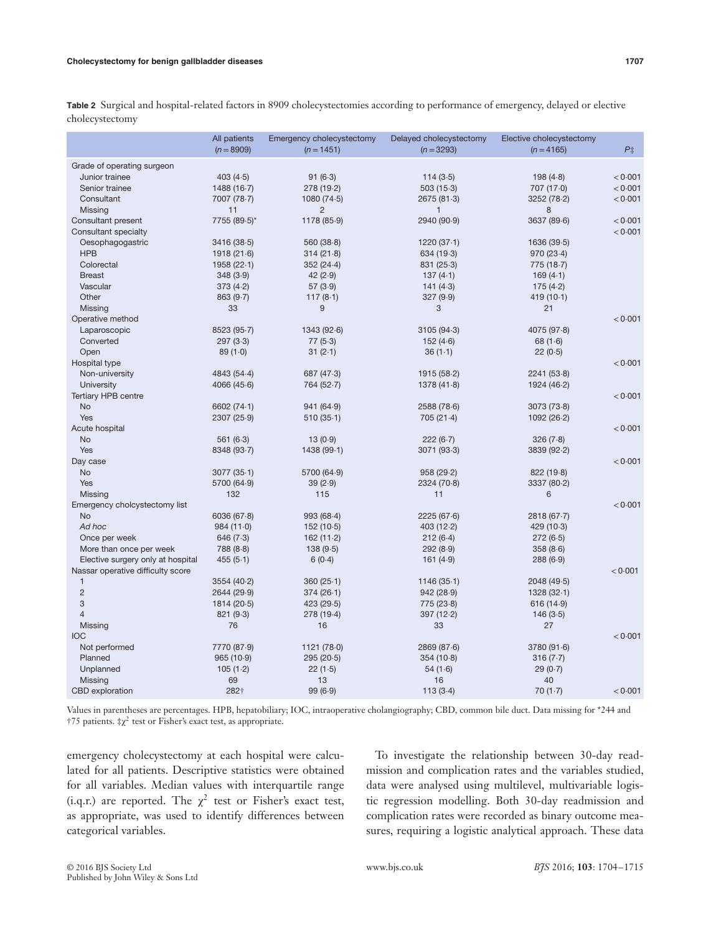**Table 2** Surgical and hospital-related factors in 8909 cholecystectomies according to performance of emergency, delayed or elective cholecystectomy

|                                   | All patients              | Emergency cholecystectomy | Delayed cholecystectomy  | Elective cholecystectomy |             |
|-----------------------------------|---------------------------|---------------------------|--------------------------|--------------------------|-------------|
|                                   | $(n = 8909)$              | $(n = 1451)$              | $(n = 3293)$             | $(n=4165)$               | $P\ddagger$ |
| Grade of operating surgeon        |                           |                           |                          |                          |             |
| Junior trainee                    | 403(4.5)                  | 91(6.3)                   | 114(3.5)                 | 198(4.8)                 | < 0.001     |
| Senior trainee                    | 1488(16.7)                | 278 (19-2)                | 503(15.3)                | 707 (17.0)               | < 0.001     |
| Consultant                        | 7007 (78.7)               | 1080(74.5)                | 2675(81.3)               | 3252(78.2)               | < 0.001     |
| Missing                           | 11                        | $\overline{2}$            | $\mathbf{1}$             | 8                        |             |
| Consultant present                | 7755 (89.5)*              | 1178 (85.9)               | 2940 (90.9)              | 3637 (89.6)              | < 0.001     |
| Consultant specialty              |                           |                           |                          |                          | < 0.001     |
| Oesophagogastric                  | 3416(38.5)                | 560(38.8)                 | 1220(37.1)               | 1636 (39.5)              |             |
| <b>HPB</b>                        | 1918(21.6)                | 314(21.8)                 | 634 (19.3)               | 970(23.4)                |             |
| Colorectal                        | 1958(22.1)                | 352 (24.4)                | 831 (25.3)               | 775 (18-7)               |             |
| <b>Breast</b>                     | 348(3.9)                  | 42(2.9)                   | 137(4.1)                 | 169 $(4.1)$              |             |
| Vascular                          | 373(4.2)                  | 57(3.9)                   | 141 $(4.3)$              | 175(4.2)                 |             |
| Other                             | 863(9.7)                  | 117(8.1)                  | 327(9.9)                 | 419 (10-1)               |             |
| <b>Missing</b>                    | 33                        | 9                         | 3                        | 21                       |             |
| Operative method                  |                           |                           |                          |                          | < 0.001     |
| Laparoscopic                      | 8523 (95.7)               | 1343(92.6)                | 3105(94.3)               | 4075 (97.8)              |             |
| Converted                         | 297(3.3)                  | 77(5.3)                   | 152 $(4.6)$              | 68 $(1.6)$               |             |
| Open                              | 89(1.0)                   | 31(2.1)                   | 36(1.1)                  | 22(0.5)                  |             |
| Hospital type                     |                           |                           |                          |                          | < 0.001     |
| Non-university                    | 4843 (54.4)               | 687 (47.3)                | 1915 (58.2)              | 2241(53.8)               |             |
| University                        | 4066(45.6)                | 764 (52.7)                | 1378(41.8)               | 1924 (46.2)              |             |
| Tertiary HPB centre               |                           |                           |                          |                          | < 0.001     |
| <b>No</b>                         | 6602 (74.1)               | 941(64.9)                 | 2588(78.6)               | 3073(73.8)               |             |
| Yes                               | 2307 (25.9)               | 510(35.1)                 | 705(21.4)                | 1092(26.2)               |             |
| Acute hospital                    |                           |                           |                          |                          | < 0.001     |
| <b>No</b>                         | 561(6.3)                  | 13(0.9)                   | 222(6.7)                 | 326(7.8)                 |             |
| Yes                               | 8348 (93.7)               | 1438 (99.1)               | 3071(93.3)               | 3839 (92.2)              |             |
| Day case                          |                           |                           |                          |                          | < 0.001     |
| No                                | 3077(35.1)                | 5700 (64.9)               | 958(29.2)                | 822 (19.8)               |             |
| Yes                               | 5700 (64.9)               | 39(2.9)                   | 2324 (70.8)              | 3337 (80.2)              |             |
| Missing                           | 132                       | 115                       | 11                       | 6                        |             |
| Emergency cholcystectomy list     |                           |                           |                          |                          | < 0.001     |
| <b>No</b>                         | 6036(67.8)                | 993 (68.4)                | 2225(67.6)               | 2818 (67.7)              |             |
| Ad hoc                            | 984(11.0)                 | 152(10.5)                 | 403(12.2)                | 429 (10.3)               |             |
| Once per week                     | 646(7.3)                  | 162(11.2)                 | 212(6.4)                 | 272(6.5)                 |             |
| More than once per week           | 788 (8.8)                 | 138(9.5)                  | 292(8.9)                 | 358(8.6)                 |             |
| Elective surgery only at hospital | 455(5.1)                  | 6(0.4)                    | 161 $(4.9)$              | 288(6.9)                 |             |
| Nassar operative difficulty score |                           |                           |                          |                          | < 0.001     |
| $\mathbf{1}$                      |                           | 360(25.1)                 |                          | 2048 (49.5)              |             |
| $\overline{2}$                    | 3554(40.2)<br>2644 (29.9) | 374(26.1)                 | 1146(35.1)<br>942 (28.9) | 1328(32.1)               |             |
| 3                                 |                           |                           |                          |                          |             |
| $\overline{4}$                    | 1814(20.5)                | 423 (29.5)                | 775 (23.8)               | 616 (14.9)               |             |
| Missing                           | 821(9.3)<br>76            | 278 (19-4)<br>16          | 397(12.2)<br>33          | 146(3.5)<br>27           |             |
|                                   |                           |                           |                          |                          |             |
| <b>IOC</b>                        |                           |                           |                          |                          | < 0.001     |
| Not performed                     | 7770 (87.9)               | 1121(78.0)                | 2869 (87.6)              | 3780 (91.6)              |             |
| Planned                           | 965(10.9)                 | 295(20.5)                 | 354(10.8)                | 316(7.7)                 |             |
| Unplanned                         | 105(1.2)                  | 22(1.5)                   | 54(1.6)                  | 29(0.7)                  |             |
| Missing                           | 69                        | 13                        | 16                       | 40                       |             |
| <b>CBD</b> exploration            | 282†                      | 99(6.9)                   | 113(3.4)                 | 70(1.7)                  | < 0.001     |

Values in parentheses are percentages. HPB, hepatobiliary; IOC, intraoperative cholangiography; CBD, common bile duct. Data missing for \*244 and †75 patients.  $\ddagger \chi^2$  test or Fisher's exact test, as appropriate.

emergency cholecystectomy at each hospital were calculated for all patients. Descriptive statistics were obtained for all variables. Median values with interquartile range (i.q.r.) are reported. The  $\chi^2$  test or Fisher's exact test, as appropriate, was used to identify differences between categorical variables.

To investigate the relationship between 30-day readmission and complication rates and the variables studied, data were analysed using multilevel, multivariable logistic regression modelling. Both 30-day readmission and complication rates were recorded as binary outcome measures, requiring a logistic analytical approach. These data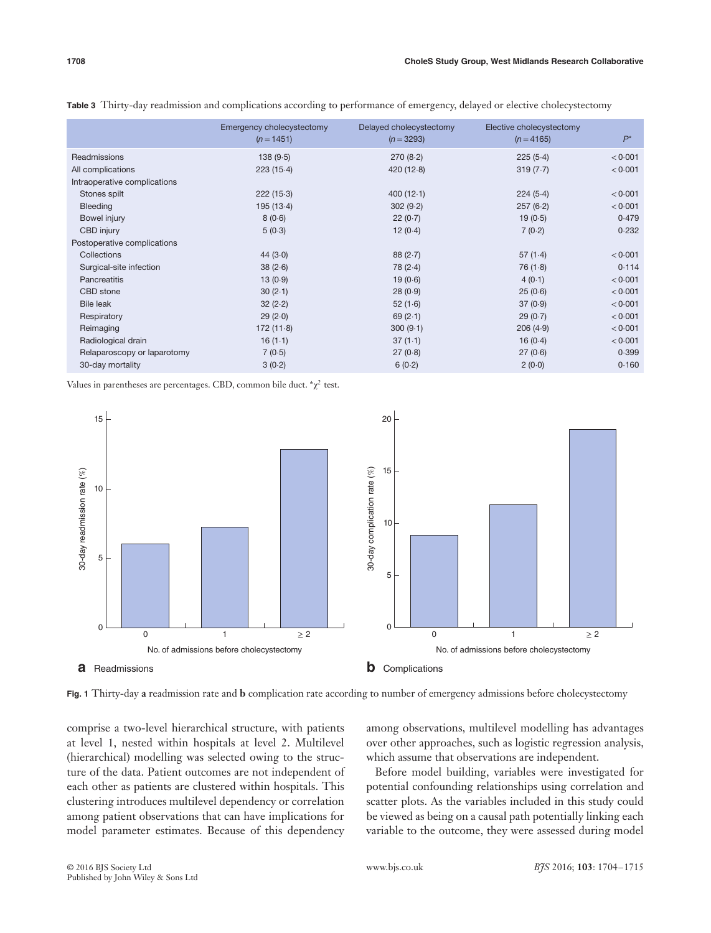|                              | Emergency cholecystectomy<br>$(n = 1451)$ | Delayed cholecystectomy<br>$(n=3293)$ | Elective cholecystectomy<br>$(n=4165)$ | $P^*$   |
|------------------------------|-------------------------------------------|---------------------------------------|----------------------------------------|---------|
| Readmissions                 | 138(9.5)                                  | 270(8.2)                              | 225(5.4)                               | < 0.001 |
| All complications            | 223(15.4)                                 | 420(12.8)                             | 319(7.7)                               | < 0.001 |
| Intraoperative complications |                                           |                                       |                                        |         |
| Stones spilt                 | 222(15.3)                                 | 400(12.1)                             | 224(5.4)                               | < 0.001 |
| <b>Bleeding</b>              | 195(13.4)                                 | 302(9.2)                              | 257(6.2)                               | < 0.001 |
| Bowel injury                 | 8(0.6)                                    | 22(0.7)                               | 19(0.5)                                | 0.479   |
| CBD injury                   | 5(0.3)                                    | 12(0.4)                               | 7(0.2)                                 | 0.232   |
| Postoperative complications  |                                           |                                       |                                        |         |
| Collections                  | 44(3.0)                                   | 88(2.7)                               | 57(1.4)                                | < 0.001 |
| Surgical-site infection      | 38(2.6)                                   | 78(2.4)                               | 76(1.8)                                | 0.114   |
| Pancreatitis                 | 13(0.9)                                   | 19(0.6)                               | 4(0.1)                                 | < 0.001 |
| CBD stone                    | 30(2.1)                                   | 28(0.9)                               | 25(0.6)                                | < 0.001 |
| <b>Bile leak</b>             | 32(2.2)                                   | 52(1.6)                               | 37(0.9)                                | < 0.001 |
| Respiratory                  | 29(2.0)                                   | 69(2.1)                               | 29(0.7)                                | < 0.001 |
| Reimaging                    | 172(11.8)                                 | 300(9.1)                              | 206(4.9)                               | < 0.001 |
| Radiological drain           | 16(1.1)                                   | 37(1.1)                               | 16(0.4)                                | < 0.001 |
| Relaparoscopy or laparotomy  | 7(0.5)                                    | 27(0.8)                               | 27(0.6)                                | 0.399   |
| 30-day mortality             | 3(0.2)                                    | 6(0.2)                                | 2(0.0)                                 | 0.160   |

**Table 3** Thirty-day readmission and complications according to performance of emergency, delayed or elective cholecystectomy

Values in parentheses are percentages. CBD, common bile duct.  $\chi^2$  test.



**Fig. 1** Thirty-day **a** readmission rate and **b** complication rate according to number of emergency admissions before cholecystectomy

comprise a two-level hierarchical structure, with patients at level 1, nested within hospitals at level 2. Multilevel (hierarchical) modelling was selected owing to the structure of the data. Patient outcomes are not independent of each other as patients are clustered within hospitals. This clustering introduces multilevel dependency or correlation among patient observations that can have implications for model parameter estimates. Because of this dependency

among observations, multilevel modelling has advantages over other approaches, such as logistic regression analysis, which assume that observations are independent.

Before model building, variables were investigated for potential confounding relationships using correlation and scatter plots. As the variables included in this study could be viewed as being on a causal path potentially linking each variable to the outcome, they were assessed during model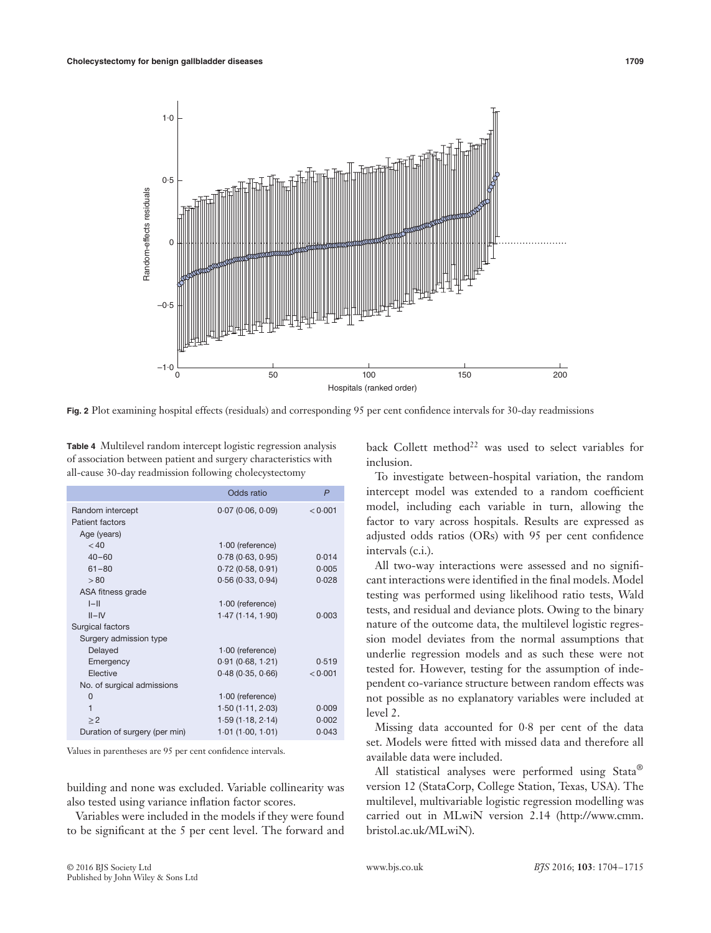

**Fig. 2** Plot examining hospital effects (residuals) and corresponding 95 per cent confidence intervals for 30-day readmissions

**Table 4** Multilevel random intercept logistic regression analysis of association between patient and surgery characteristics with all-cause 30-day readmission following cholecystectomy

|                               | Odds ratio         | $\mathsf{P}$ |
|-------------------------------|--------------------|--------------|
| Random intercept              | 0.07(0.06, 0.09)   | < 0.001      |
| Patient factors               |                    |              |
| Age (years)                   |                    |              |
| < 40                          | $1.00$ (reference) |              |
| $40 - 60$                     | 0.78(0.63, 0.95)   | 0.014        |
| $61 - 80$                     | 0.72(0.58, 0.91)   | 0.005        |
| > 80                          | 0.56(0.33, 0.94)   | 0.028        |
| ASA fitness grade             |                    |              |
| $I - II$                      | $1.00$ (reference) |              |
| $II - IV$                     | 1.47(1.14, 1.90)   | 0.003        |
| Surgical factors              |                    |              |
| Surgery admission type        |                    |              |
| Delayed                       | $1.00$ (reference) |              |
| Emergency                     | 0.91(0.68, 1.21)   | 0.519        |
| Flective                      | 0.48(0.35, 0.66)   | < 0.001      |
| No. of surgical admissions    |                    |              |
| $\Omega$                      | $1.00$ (reference) |              |
| $\overline{1}$                | 1.50(1.11, 2.03)   | 0.009        |
| >2                            | 1.59(1.18, 2.14)   | 0.002        |
| Duration of surgery (per min) | 1.01(1.00, 1.01)   | 0.043        |

Values in parentheses are 95 per cent confidence intervals.

building and none was excluded. Variable collinearity was also tested using variance inflation factor scores.

Variables were included in the models if they were found to be significant at the 5 per cent level. The forward and back Collett method<sup>22</sup> was used to select variables for inclusion.

To investigate between-hospital variation, the random intercept model was extended to a random coefficient model, including each variable in turn, allowing the factor to vary across hospitals. Results are expressed as adjusted odds ratios (ORs) with 95 per cent confidence intervals (c.i.).

All two-way interactions were assessed and no significant interactions were identified in the final models. Model testing was performed using likelihood ratio tests, Wald tests, and residual and deviance plots. Owing to the binary nature of the outcome data, the multilevel logistic regression model deviates from the normal assumptions that underlie regression models and as such these were not tested for. However, testing for the assumption of independent co-variance structure between random effects was not possible as no explanatory variables were included at level 2.

Missing data accounted for 0⋅8 per cent of the data set. Models were fitted with missed data and therefore all available data were included.

All statistical analyses were performed using Stata® version 12 (StataCorp, College Station, Texas, USA). The multilevel, multivariable logistic regression modelling was carried out in MLwiN version 2.14 (http://www.cmm. bristol.ac.uk/MLwiN).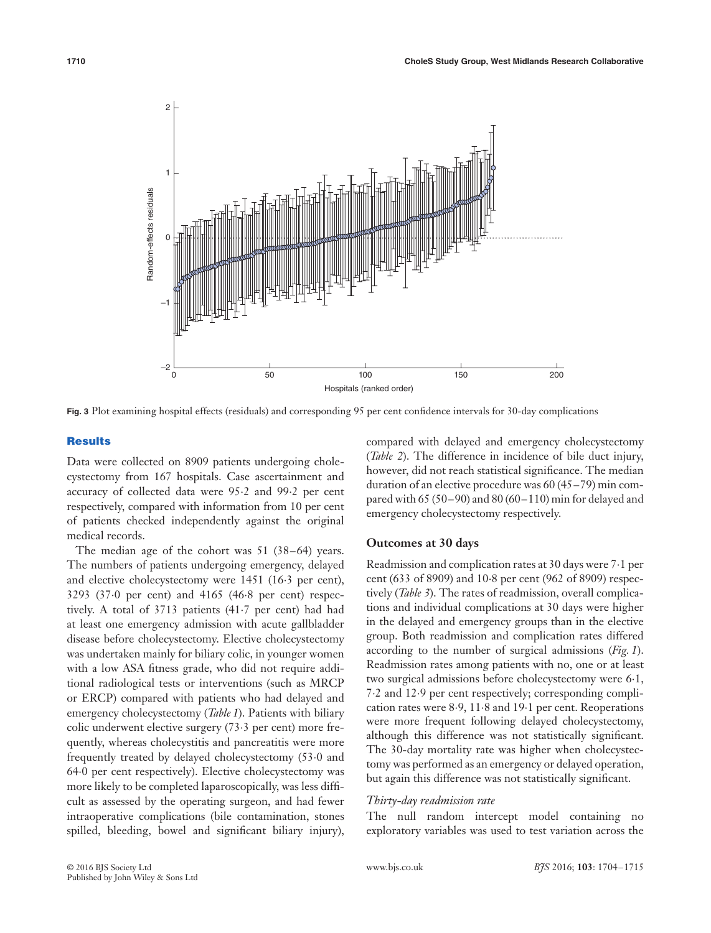

**Fig. 3** Plot examining hospital effects (residuals) and corresponding 95 per cent confidence intervals for 30-day complications

#### **Results**

Data were collected on 8909 patients undergoing cholecystectomy from 167 hospitals. Case ascertainment and accuracy of collected data were 95⋅2 and 99⋅2 per cent respectively, compared with information from 10 per cent of patients checked independently against the original medical records.

The median age of the cohort was 51 (38–64) years. The numbers of patients undergoing emergency, delayed and elective cholecystectomy were 1451 (16⋅3 per cent), 3293 (37⋅0 per cent) and 4165 (46⋅8 per cent) respectively. A total of 3713 patients (41⋅7 per cent) had had at least one emergency admission with acute gallbladder disease before cholecystectomy. Elective cholecystectomy was undertaken mainly for biliary colic, in younger women with a low ASA fitness grade, who did not require additional radiological tests or interventions (such as MRCP or ERCP) compared with patients who had delayed and emergency cholecystectomy (*Table 1*). Patients with biliary colic underwent elective surgery (73⋅3 per cent) more frequently, whereas cholecystitis and pancreatitis were more frequently treated by delayed cholecystectomy (53⋅0 and 64⋅0 per cent respectively). Elective cholecystectomy was more likely to be completed laparoscopically, was less difficult as assessed by the operating surgeon, and had fewer intraoperative complications (bile contamination, stones spilled, bleeding, bowel and significant biliary injury),

compared with delayed and emergency cholecystectomy (*Table 2*). The difference in incidence of bile duct injury, however, did not reach statistical significance. The median duration of an elective procedure was 60 (45–79) min compared with 65 (50–90) and 80 (60–110) min for delayed and emergency cholecystectomy respectively.

#### **Outcomes at 30 days**

Readmission and complication rates at 30 days were 7⋅1 per cent (633 of 8909) and 10⋅8 per cent (962 of 8909) respectively (*Table 3*). The rates of readmission, overall complications and individual complications at 30 days were higher in the delayed and emergency groups than in the elective group. Both readmission and complication rates differed according to the number of surgical admissions (*Fig. 1*). Readmission rates among patients with no, one or at least two surgical admissions before cholecystectomy were 6⋅1, 7⋅2 and 12⋅9 per cent respectively; corresponding complication rates were 8⋅9, 11⋅8 and 19⋅1 per cent. Reoperations were more frequent following delayed cholecystectomy, although this difference was not statistically significant. The 30-day mortality rate was higher when cholecystectomy was performed as an emergency or delayed operation, but again this difference was not statistically significant.

#### *Thirty-day readmission rate*

The null random intercept model containing no exploratory variables was used to test variation across the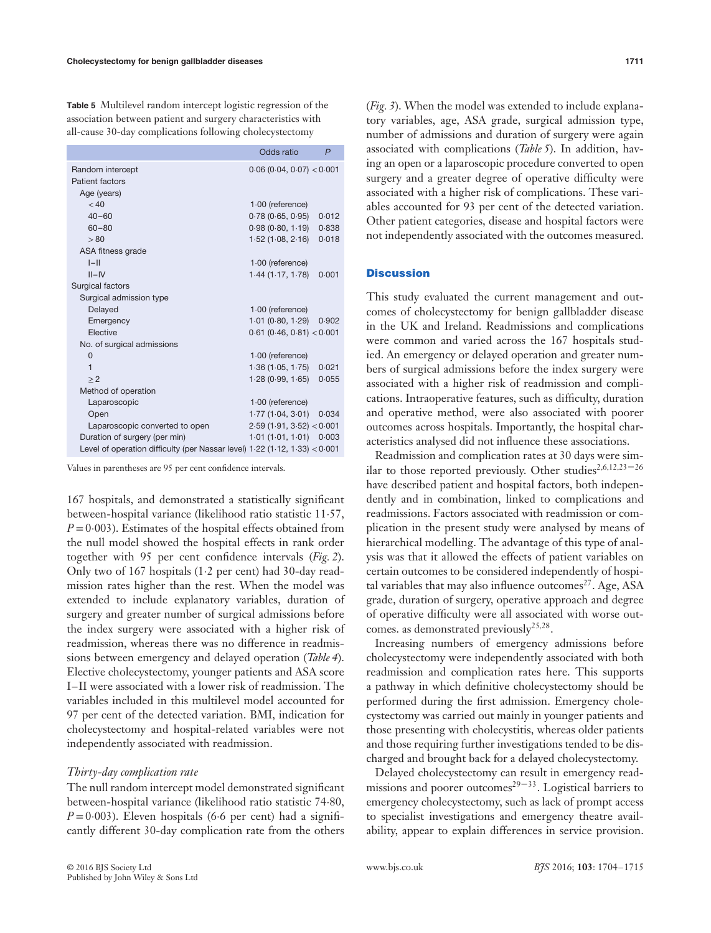**Table 5** Multilevel random intercept logistic regression of the association between patient and surgery characteristics with all-cause 30-day complications following cholecystectomy

|                                                                            | Odds ratio                  | $\overline{P}$ |
|----------------------------------------------------------------------------|-----------------------------|----------------|
| Random intercept                                                           | $0.06$ (0.04, 0.07) < 0.001 |                |
| Patient factors                                                            |                             |                |
| Age (years)                                                                |                             |                |
| < 40                                                                       | $1.00$ (reference)          |                |
| $40 - 60$                                                                  | 0.78(0.65, 0.95)            | 0.012          |
| $60 - 80$                                                                  | 0.98(0.80, 1.19)            | 0.838          |
| > 80                                                                       | 1.52(1.08, 2.16)            | 0.018          |
| ASA fitness grade                                                          |                             |                |
| $I-I$                                                                      | $1.00$ (reference)          |                |
| $II - IV$                                                                  | 1.44(1.17, 1.78)            | 0.001          |
| <b>Surgical factors</b>                                                    |                             |                |
| Surgical admission type                                                    |                             |                |
| Delayed                                                                    | $1.00$ (reference)          |                |
| Emergency                                                                  | 1.01(0.80, 1.29)            | 0.902          |
| Elective                                                                   | $0.61$ (0.46, 0.81) < 0.001 |                |
| No. of surgical admissions                                                 |                             |                |
| $\Omega$                                                                   | $1.00$ (reference)          |                |
| $\overline{\phantom{a}}$                                                   | 1.36(1.05, 1.75)            | 0.021          |
| >2                                                                         | 1.28(0.99, 1.65)            | 0.055          |
| Method of operation                                                        |                             |                |
| Laparoscopic                                                               | $1.00$ (reference)          |                |
| Open                                                                       | 1.77(1.04, 3.01)            | 0.034          |
| Laparoscopic converted to open                                             | 2.59(1.91, 3.52) < 0.001    |                |
| Duration of surgery (per min)                                              | $1.01(1.01, 1.01)$ 0.003    |                |
| Level of operation difficulty (per Nassar level) 1.22 (1.12, 1.33) < 0.001 |                             |                |

Values in parentheses are 95 per cent confidence intervals.

167 hospitals, and demonstrated a statistically significant between-hospital variance (likelihood ratio statistic 11⋅57,  $P = 0.003$ ). Estimates of the hospital effects obtained from the null model showed the hospital effects in rank order together with 95 per cent confidence intervals (*Fig. 2*). Only two of 167 hospitals (1⋅2 per cent) had 30-day readmission rates higher than the rest. When the model was extended to include explanatory variables, duration of surgery and greater number of surgical admissions before the index surgery were associated with a higher risk of readmission, whereas there was no difference in readmissions between emergency and delayed operation (*Table 4*). Elective cholecystectomy, younger patients and ASA score I–II were associated with a lower risk of readmission. The variables included in this multilevel model accounted for 97 per cent of the detected variation. BMI, indication for cholecystectomy and hospital-related variables were not independently associated with readmission.

#### *Thirty-day complication rate*

The null random intercept model demonstrated significant between-hospital variance (likelihood ratio statistic 74⋅80,  $P = 0.003$ ). Eleven hospitals (6⋅6 per cent) had a significantly different 30-day complication rate from the others

(*Fig. 3*). When the model was extended to include explanatory variables, age, ASA grade, surgical admission type, number of admissions and duration of surgery were again associated with complications (*Table 5*). In addition, having an open or a laparoscopic procedure converted to open surgery and a greater degree of operative difficulty were associated with a higher risk of complications. These variables accounted for 93 per cent of the detected variation. Other patient categories, disease and hospital factors were not independently associated with the outcomes measured.

#### **Discussion**

This study evaluated the current management and outcomes of cholecystectomy for benign gallbladder disease in the UK and Ireland. Readmissions and complications were common and varied across the 167 hospitals studied. An emergency or delayed operation and greater numbers of surgical admissions before the index surgery were associated with a higher risk of readmission and complications. Intraoperative features, such as difficulty, duration and operative method, were also associated with poorer outcomes across hospitals. Importantly, the hospital characteristics analysed did not influence these associations.

Readmission and complication rates at 30 days were similar to those reported previously. Other studies<sup>2,6,12,23-26</sup> have described patient and hospital factors, both independently and in combination, linked to complications and readmissions. Factors associated with readmission or complication in the present study were analysed by means of hierarchical modelling. The advantage of this type of analysis was that it allowed the effects of patient variables on certain outcomes to be considered independently of hospital variables that may also influence outcomes<sup>27</sup>. Age, ASA grade, duration of surgery, operative approach and degree of operative difficulty were all associated with worse outcomes. as demonstrated previously<sup>25</sup>*,*28.

Increasing numbers of emergency admissions before cholecystectomy were independently associated with both readmission and complication rates here. This supports a pathway in which definitive cholecystectomy should be performed during the first admission. Emergency cholecystectomy was carried out mainly in younger patients and those presenting with cholecystitis, whereas older patients and those requiring further investigations tended to be discharged and brought back for a delayed cholecystectomy.

Delayed cholecystectomy can result in emergency readmissions and poorer outcomes<sup>29–33</sup>. Logistical barriers to emergency cholecystectomy, such as lack of prompt access to specialist investigations and emergency theatre availability, appear to explain differences in service provision.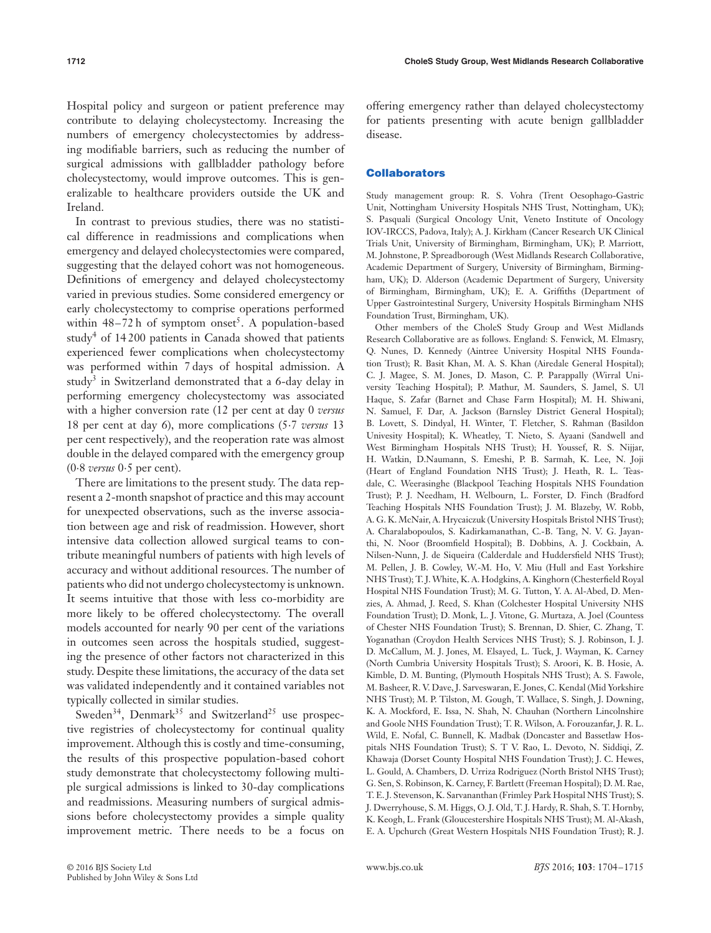Hospital policy and surgeon or patient preference may contribute to delaying cholecystectomy. Increasing the numbers of emergency cholecystectomies by addressing modifiable barriers, such as reducing the number of surgical admissions with gallbladder pathology before cholecystectomy, would improve outcomes. This is generalizable to healthcare providers outside the UK and Ireland.

In contrast to previous studies, there was no statistical difference in readmissions and complications when emergency and delayed cholecystectomies were compared, suggesting that the delayed cohort was not homogeneous. Definitions of emergency and delayed cholecystectomy varied in previous studies. Some considered emergency or early cholecystectomy to comprise operations performed within  $48-72 h$  of symptom onset<sup>5</sup>. A population-based study<sup>4</sup> of  $14\,200$  patients in Canada showed that patients experienced fewer complications when cholecystectomy was performed within 7 days of hospital admission. A study<sup>3</sup> in Switzerland demonstrated that a 6-day delay in performing emergency cholecystectomy was associated with a higher conversion rate (12 per cent at day 0 *versus* 18 per cent at day 6), more complications (5⋅7 *versus* 13 per cent respectively), and the reoperation rate was almost double in the delayed compared with the emergency group (0⋅8 *versus* 0⋅5 per cent).

There are limitations to the present study. The data represent a 2-month snapshot of practice and this may account for unexpected observations, such as the inverse association between age and risk of readmission. However, short intensive data collection allowed surgical teams to contribute meaningful numbers of patients with high levels of accuracy and without additional resources. The number of patients who did not undergo cholecystectomy is unknown. It seems intuitive that those with less co-morbidity are more likely to be offered cholecystectomy. The overall models accounted for nearly 90 per cent of the variations in outcomes seen across the hospitals studied, suggesting the presence of other factors not characterized in this study. Despite these limitations, the accuracy of the data set was validated independently and it contained variables not typically collected in similar studies.

Sweden<sup>34</sup>, Denmark<sup>35</sup> and Switzerland<sup>25</sup> use prospective registries of cholecystectomy for continual quality improvement. Although this is costly and time-consuming, the results of this prospective population-based cohort study demonstrate that cholecystectomy following multiple surgical admissions is linked to 30-day complications and readmissions. Measuring numbers of surgical admissions before cholecystectomy provides a simple quality improvement metric. There needs to be a focus on offering emergency rather than delayed cholecystectomy for patients presenting with acute benign gallbladder disease.

#### **Collaborators**

Study management group: R. S. Vohra (Trent Oesophago-Gastric Unit, Nottingham University Hospitals NHS Trust, Nottingham, UK); S. Pasquali (Surgical Oncology Unit, Veneto Institute of Oncology IOV-IRCCS, Padova, Italy); A. J. Kirkham (Cancer Research UK Clinical Trials Unit, University of Birmingham, Birmingham, UK); P. Marriott, M. Johnstone, P. Spreadborough (West Midlands Research Collaborative, Academic Department of Surgery, University of Birmingham, Birmingham, UK); D. Alderson (Academic Department of Surgery, University of Birmingham, Birmingham, UK); E. A. Griffiths (Department of Upper Gastrointestinal Surgery, University Hospitals Birmingham NHS Foundation Trust, Birmingham, UK).

Other members of the CholeS Study Group and West Midlands Research Collaborative are as follows. England: S. Fenwick, M. Elmasry, Q. Nunes, D. Kennedy (Aintree University Hospital NHS Foundation Trust); R. Basit Khan, M. A. S. Khan (Airedale General Hospital); C. J. Magee, S. M. Jones, D. Mason, C. P. Parappally (Wirral University Teaching Hospital); P. Mathur, M. Saunders, S. Jamel, S. Ul Haque, S. Zafar (Barnet and Chase Farm Hospital); M. H. Shiwani, N. Samuel, F. Dar, A. Jackson (Barnsley District General Hospital); B. Lovett, S. Dindyal, H. Winter, T. Fletcher, S. Rahman (Basildon Univesity Hospital); K. Wheatley, T. Nieto, S. Ayaani (Sandwell and West Birmingham Hospitals NHS Trust); H. Youssef, R. S. Nijjar, H. Watkin, D.Naumann, S. Emeshi, P. B. Sarmah, K. Lee, N. Joji (Heart of England Foundation NHS Trust); J. Heath, R. L. Teasdale, C. Weerasinghe (Blackpool Teaching Hospitals NHS Foundation Trust); P. J. Needham, H. Welbourn, L. Forster, D. Finch (Bradford Teaching Hospitals NHS Foundation Trust); J. M. Blazeby, W. Robb, A. G. K. McNair, A. Hrycaiczuk (University Hospitals Bristol NHS Trust); A. Charalabopoulos, S. Kadirkamanathan, C.-B. Tang, N. V. G. Jayanthi, N. Noor (Broomfield Hospital); B. Dobbins, A. J. Cockbain, A. Nilsen-Nunn, J. de Siqueira (Calderdale and Huddersfield NHS Trust); M. Pellen, J. B. Cowley, W.-M. Ho, V. Miu (Hull and East Yorkshire NHS Trust); T. J. White, K. A. Hodgkins, A. Kinghorn (Chesterfield Royal Hospital NHS Foundation Trust); M. G. Tutton, Y. A. Al-Abed, D. Menzies, A. Ahmad, J. Reed, S. Khan (Colchester Hospital University NHS Foundation Trust); D. Monk, L. J. Vitone, G. Murtaza, A. Joel (Countess of Chester NHS Foundation Trust); S. Brennan, D. Shier, C. Zhang, T. Yoganathan (Croydon Health Services NHS Trust); S. J. Robinson, I. J. D. McCallum, M. J. Jones, M. Elsayed, L. Tuck, J. Wayman, K. Carney (North Cumbria University Hospitals Trust); S. Aroori, K. B. Hosie, A. Kimble, D. M. Bunting, (Plymouth Hospitals NHS Trust); A. S. Fawole, M. Basheer, R. V. Dave, J. Sarveswaran, E. Jones, C. Kendal (Mid Yorkshire NHS Trust); M. P. Tilston, M. Gough, T. Wallace, S. Singh, J. Downing, K. A. Mockford, E. Issa, N. Shah, N. Chauhan (Northern Lincolnshire and Goole NHS Foundation Trust); T. R. Wilson, A. Forouzanfar, J. R. L. Wild, E. Nofal, C. Bunnell, K. Madbak (Doncaster and Bassetlaw Hospitals NHS Foundation Trust); S. T V. Rao, L. Devoto, N. Siddiqi, Z. Khawaja (Dorset County Hospital NHS Foundation Trust); J. C. Hewes, L. Gould, A. Chambers, D. Urriza Rodriguez (North Bristol NHS Trust); G. Sen, S. Robinson, K. Carney, F. Bartlett (Freeman Hospital); D. M. Rae, T. E. J. Stevenson, K. Sarvananthan (Frimley Park Hospital NHS Trust); S. J. Dwerryhouse, S. M. Higgs, O. J. Old, T. J. Hardy, R. Shah, S. T. Hornby, K. Keogh, L. Frank (Gloucestershire Hospitals NHS Trust); M. Al-Akash, E. A. Upchurch (Great Western Hospitals NHS Foundation Trust); R. J.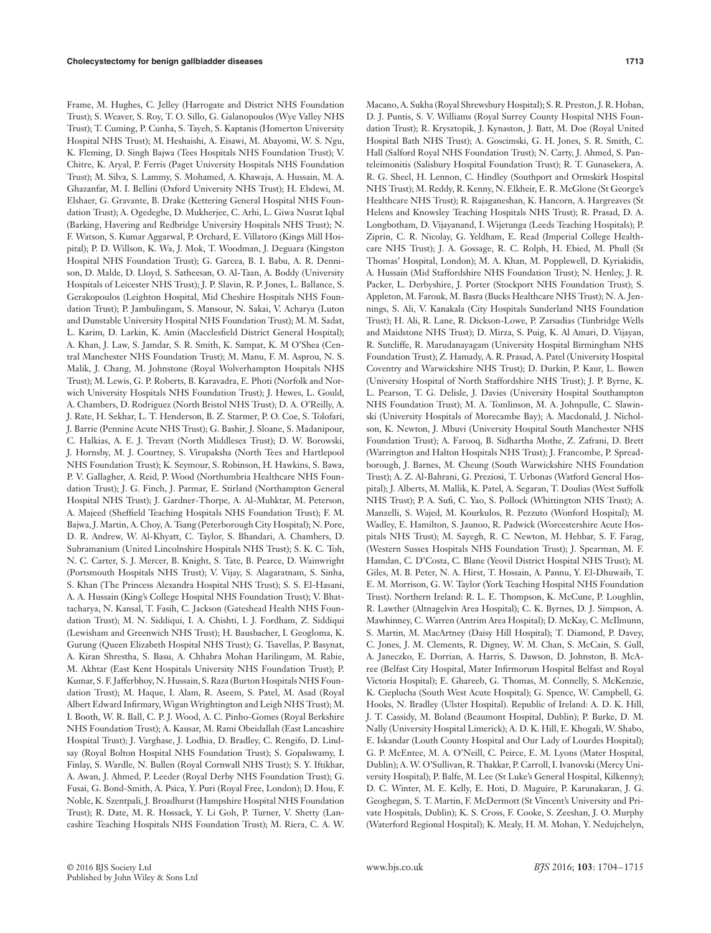Frame, M. Hughes, C. Jelley (Harrogate and District NHS Foundation Trust); S. Weaver, S. Roy, T. O. Sillo, G. Galanopoulos (Wye Valley NHS Trust); T. Cuming, P. Cunha, S. Tayeh, S. Kaptanis (Homerton University Hospital NHS Trust); M. Heshaishi, A. Eisawi, M. Abayomi, W. S. Ngu, K. Fleming, D. Singh Bajwa (Tees Hospitals NHS Foundation Trust); V. Chitre, K. Aryal, P. Ferris (Paget University Hospitals NHS Foundation Trust); M. Silva, S. Lammy, S. Mohamed, A. Khawaja, A. Hussain, M. A. Ghazanfar, M. I. Bellini (Oxford University NHS Trust); H. Ebdewi, M. Elshaer, G. Gravante, B. Drake (Kettering General Hospital NHS Foundation Trust); A. Ogedegbe, D. Mukherjee, C. Arhi, L. Giwa Nusrat Iqbal (Barking, Havering and Redbridge University Hospitals NHS Trust); N. F. Watson, S. Kumar Aggarwal, P. Orchard, E. Villatoro (Kings Mill Hospital); P. D. Willson, K. Wa, J. Mok, T. Woodman, J. Deguara (Kingston Hospital NHS Foundation Trust); G. Garcea, B. I. Babu, A. R. Dennison, D. Malde, D. Lloyd, S. Satheesan, O. Al-Taan, A. Boddy (University Hospitals of Leicester NHS Trust); J. P. Slavin, R. P. Jones, L. Ballance, S. Gerakopoulos (Leighton Hospital, Mid Cheshire Hospitals NHS Foundation Trust); P. Jambulingam, S. Mansour, N. Sakai, V. Acharya (Luton and Dunstable University Hospital NHS Foundation Trust); M. M. Sadat, L. Karim, D. Larkin, K. Amin (Macclesfield District General Hospital); A. Khan, J. Law, S. Jamdar, S. R. Smith, K. Sampat, K. M O'Shea (Central Manchester NHS Foundation Trust); M. Manu, F. M. Asprou, N. S. Malik, J. Chang, M. Johnstone (Royal Wolverhampton Hospitals NHS Trust); M. Lewis, G. P. Roberts, B. Karavadra, E. Photi (Norfolk and Norwich University Hospitals NHS Foundation Trust); J. Hewes, L. Gould, A. Chambers, D. Rodriguez (North Bristol NHS Trust); D. A. O'Reilly, A. J. Rate, H. Sekhar, L. T. Henderson, B. Z. Starmer, P. O. Coe, S. Tolofari, J. Barrie (Pennine Acute NHS Trust); G. Bashir, J. Sloane, S. Madanipour, C. Halkias, A. E. J. Trevatt (North Middlesex Trust); D. W. Borowski, J. Hornsby, M. J. Courtney, S. Virupaksha (North Tees and Hartlepool NHS Foundation Trust); K. Seymour, S. Robinson, H. Hawkins, S. Bawa, P. V. Gallagher, A. Reid, P. Wood (Northumbria Healthcare NHS Foundation Trust); J. G. Finch, J. Parmar, E. Stirland (Northampton General Hospital NHS Trust); J. Gardner-Thorpe, A. Al-Muhktar, M. Peterson, A. Majeed (Sheffield Teaching Hospitals NHS Foundation Trust); F. M. Bajwa, J. Martin, A. Choy, A. Tsang (Peterborough City Hospital); N. Pore, D. R. Andrew, W. Al-Khyatt, C. Taylor, S. Bhandari, A. Chambers, D. Subramanium (United Lincolnshire Hospitals NHS Trust); S. K. C. Toh, N. C. Carter, S. J. Mercer, B. Knight, S. Tate, B. Pearce, D. Wainwright (Portsmouth Hospitals NHS Trust); V. Vijay, S. Alagaratnam, S. Sinha, S. Khan (The Princess Alexandra Hospital NHS Trust); S. S. El-Hasani, A. A. Hussain (King's College Hospital NHS Foundation Trust); V. Bhattacharya, N. Kansal, T. Fasih, C. Jackson (Gateshead Health NHS Foundation Trust); M. N. Siddiqui, I. A. Chishti, I. J. Fordham, Z. Siddiqui (Lewisham and Greenwich NHS Trust); H. Bausbacher, I. Geogloma, K. Gurung (Queen Elizabeth Hospital NHS Trust); G. Tsavellas, P. Basynat, A. Kiran Shrestha, S. Basu, A. Chhabra Mohan Harilingam, M. Rabie, M. Akhtar (East Kent Hospitals University NHS Foundation Trust); P. Kumar, S. F. Jafferbhoy, N. Hussain, S. Raza (Burton Hospitals NHS Foundation Trust); M. Haque, I. Alam, R. Aseem, S. Patel, M. Asad (Royal Albert Edward Infirmary, Wigan Wrightington and Leigh NHS Trust); M. I. Booth, W. R. Ball, C. P. J. Wood, A. C. Pinho-Gomes (Royal Berkshire NHS Foundation Trust); A. Kausar, M. Rami Obeidallah (East Lancashire Hospital Trust); J. Varghase, J. Lodhia, D. Bradley, C. Rengifo, D. Lindsay (Royal Bolton Hospital NHS Foundation Trust); S. Gopalswamy, I. Finlay, S. Wardle, N. Bullen (Royal Cornwall NHS Trust); S. Y. Iftikhar, A. Awan, J. Ahmed, P. Leeder (Royal Derby NHS Foundation Trust); G. Fusai, G. Bond-Smith, A. Psica, Y. Puri (Royal Free, London); D. Hou, F. Noble, K. Szentpali, J. Broadhurst (Hampshire Hospital NHS Foundation Trust); R. Date, M. R. Hossack, Y. Li Goh, P. Turner, V. Shetty (Lancashire Teaching Hospitals NHS Foundation Trust); M. Riera, C. A. W.

Macano, A. Sukha (Royal Shrewsbury Hospital); S. R. Preston, J. R. Hoban, D. J. Puntis, S. V. Williams (Royal Surrey County Hospital NHS Foundation Trust); R. Krysztopik, J. Kynaston, J. Batt, M. Doe (Royal United Hospital Bath NHS Trust); A. Goscimski, G. H. Jones, S. R. Smith, C. Hall (Salford Royal NHS Foundation Trust); N. Carty, J. Ahmed, S. Panteleimonitis (Salisbury Hospital Foundation Trust); R. T. Gunasekera, A. R. G. Sheel, H. Lennon, C. Hindley (Southport and Ormskirk Hospital NHS Trust); M. Reddy, R. Kenny, N. Elkheir, E. R. McGlone (St George's Healthcare NHS Trust); R. Rajaganeshan, K. Hancorn, A. Hargreaves (St Helens and Knowsley Teaching Hospitals NHS Trust); R. Prasad, D. A. Longbotham, D. Vijayanand, I. Wijetunga (Leeds Teaching Hospitals); P. Ziprin, C. R. Nicolay, G. Yeldham, E. Read (Imperial College Healthcare NHS Trust); J. A. Gossage, R. C. Rolph, H. Ebied, M. Phull (St Thomas' Hospital, London); M. A. Khan, M. Popplewell, D. Kyriakidis, A. Hussain (Mid Staffordshire NHS Foundation Trust); N. Henley, J. R. Packer, L. Derbyshire, J. Porter (Stockport NHS Foundation Trust); S. Appleton, M. Farouk, M. Basra (Bucks Healthcare NHS Trust); N. A. Jennings, S. Ali, V. Kanakala (City Hospitals Sunderland NHS Foundation Trust); H. Ali, R. Lane, R. Dickson-Lowe, P. Zarsadias (Tunbridge Wells and Maidstone NHS Trust); D. Mirza, S. Puig, K. Al Amari, D. Vijayan, R. Sutcliffe, R. Marudanayagam (University Hospital Birmingham NHS Foundation Trust); Z. Hamady, A. R. Prasad, A. Patel (University Hospital Coventry and Warwickshire NHS Trust); D. Durkin, P. Kaur, L. Bowen (University Hospital of North Staffordshire NHS Trust); J. P. Byrne, K. L. Pearson, T. G. Delisle, J. Davies (University Hospital Southampton NHS Foundation Trust); M. A. Tomlinson, M. A. Johnpulle, C. Slawinski (University Hospitals of Morecambe Bay); A. Macdonald, J. Nicholson, K. Newton, J. Mbuvi (University Hospital South Manchester NHS Foundation Trust); A. Farooq, B. Sidhartha Mothe, Z. Zafrani, D. Brett (Warrington and Halton Hospitals NHS Trust); J. Francombe, P. Spreadborough, J. Barnes, M. Cheung (South Warwickshire NHS Foundation Trust); A. Z. Al-Bahrani, G. Preziosi, T. Urbonas (Watford General Hospital); J. Alberts, M. Mallik, K. Patel, A. Segaran, T. Doulias (West Suffolk NHS Trust); P. A. Sufi, C. Yao, S. Pollock (Whittington NHS Trust); A. Manzelli, S. Wajed, M. Kourkulos, R. Pezzuto (Wonford Hospital); M. Wadley, E. Hamilton, S. Jaunoo, R. Padwick (Worcestershire Acute Hospitals NHS Trust); M. Sayegh, R. C. Newton, M. Hebbar, S. F. Farag, (Western Sussex Hospitals NHS Foundation Trust); J. Spearman, M. F. Hamdan, C. D'Costa, C. Blane (Yeovil District Hospital NHS Trust); M. Giles, M. B. Peter, N. A. Hirst, T. Hossain, A. Pannu, Y. El-Dhuwaib, T. E. M. Morrison, G. W. Taylor (York Teaching Hospital NHS Foundation Trust). Northern Ireland: R. L. E. Thompson, K. McCune, P. Loughlin, R. Lawther (Altnagelvin Area Hospital); C. K. Byrnes, D. J. Simpson, A. Mawhinney, C. Warren (Antrim Area Hospital); D. McKay, C. McIlmunn, S. Martin, M. MacArtney (Daisy Hill Hospital); T. Diamond, P. Davey, C. Jones, J. M. Clements, R. Digney, W. M. Chan, S. McCain, S. Gull, A. Janeczko, E. Dorrian, A. Harris, S. Dawson, D. Johnston, B. McAree (Belfast City Hospital, Mater Infirmorum Hospital Belfast and Royal Victoria Hospital); E. Ghareeb, G. Thomas, M. Connelly, S. McKenzie, K. Cieplucha (South West Acute Hospital); G. Spence, W. Campbell, G. Hooks, N. Bradley (Ulster Hospital). Republic of Ireland: A. D. K. Hill, J. T. Cassidy, M. Boland (Beaumont Hospital, Dublin); P. Burke, D. M. Nally (University Hospital Limerick); A. D. K. Hill, E. Khogali, W. Shabo, E. Iskandar (Louth County Hospital and Our Lady of Lourdes Hospital); G. P. McEntee, M. A. O'Neill, C. Peirce, E. M. Lyons (Mater Hospital, Dublin); A. W. O'Sullivan, R. Thakkar, P. Carroll, I. Ivanovski (Mercy University Hospital); P. Balfe, M. Lee (St Luke's General Hospital, Kilkenny); D. C. Winter, M. E. Kelly, E. Hoti, D. Maguire, P. Karunakaran, J. G. Geoghegan, S. T. Martin, F. McDermott (St Vincent's University and Private Hospitals, Dublin); K. S. Cross, F. Cooke, S. Zeeshan, J. O. Murphy (Waterford Regional Hospital); K. Mealy, H. M. Mohan, Y. Nedujchelyn,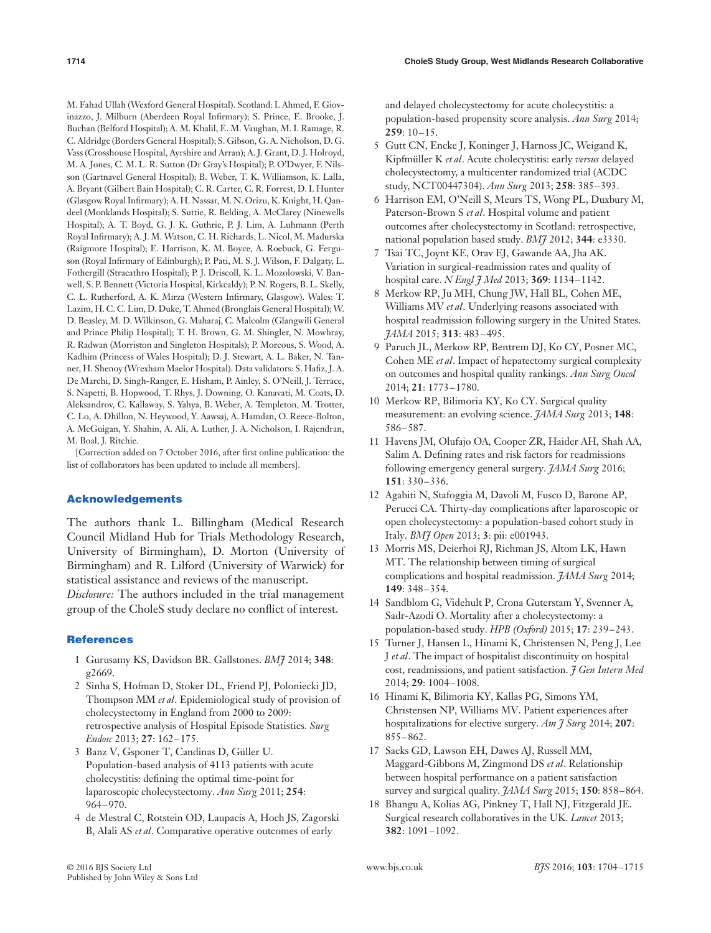M. Fahad Ullah (Wexford General Hospital). Scotland: I. Ahmed, F. Giovinazzo, J. Milburn (Aberdeen Royal Infirmary); S. Prince, E. Brooke, J. Buchan (Belford Hospital); A. M. Khalil, E. M. Vaughan, M. I. Ramage, R. C. Aldridge (Borders General Hospital); S. Gibson, G. A. Nicholson, D. G. Vass (Crosshouse Hospital, Ayrshire and Arran); A. J. Grant, D. J. Holroyd, M. A. Jones, C. M. L. R. Sutton (Dr Gray's Hospital); P. O'Dwyer, F. Nilsson (Gartnavel General Hospital); B. Weber, T. K. Williamson, K. Lalla, A. Bryant (Gilbert Bain Hospital); C. R. Carter, C. R. Forrest, D. I. Hunter (Glasgow Royal Infirmary); A. H. Nassar, M. N. Orizu, K. Knight, H. Qandeel (Monklands Hospital); S. Suttie, R. Belding, A. McClarey (Ninewells Hospital); A. T. Boyd, G. J. K. Guthrie, P. J. Lim, A. Luhmann (Perth Royal Infirmary); A. J. M. Watson, C. H. Richards, L. Nicol, M. Madurska (Raigmore Hospital); E. Harrison, K. M. Boyce, A. Roebuck, G. Ferguson (Royal Infirmary of Edinburgh); P. Pati, M. S. J. Wilson, F. Dalgaty, L. Fothergill (Stracathro Hospital); P. J. Driscoll, K. L. Mozolowski, V. Banwell, S. P. Bennett (Victoria Hospital, Kirkcaldy); P. N. Rogers, B. L. Skelly, C. L. Rutherford, A. K. Mirza (Western Infirmary, Glasgow). Wales: T. Lazim, H. C. C. Lim, D. Duke, T. Ahmed (Bronglais General Hospital);W. D. Beasley, M. D. Wilkinson, G. Maharaj, C. Malcolm (Glangwili General and Prince Philip Hospital); T. H. Brown, G. M. Shingler, N. Mowbray, R. Radwan (Morriston and Singleton Hospitals); P. Morcous, S. Wood, A. Kadhim (Princess of Wales Hospital); D. J. Stewart, A. L. Baker, N. Tanner, H. Shenoy (Wrexham Maelor Hospital). Data validators: S. Hafiz, J. A. De Marchi, D. Singh-Ranger, E. Hisham, P. Ainley, S. O'Neill, J. Terrace, S. Napetti, B. Hopwood, T. Rhys, J. Downing, O. Kanavati, M. Coats, D. Aleksandrov, C. Kallaway, S. Yahya, B. Weber, A. Templeton, M. Trotter, C. Lo, A. Dhillon, N. Heywood, Y. Aawsaj, A. Hamdan, O. Reece-Bolton, A. McGuigan, Y. Shahin, A. Ali, A. Luther, J. A. Nicholson, I. Rajendran, M. Boal, J. Ritchie.

[Correction added on 7 October 2016, after first online publication: the list of collaborators has been updated to include all members].

## **Acknowledgements**

The authors thank L. Billingham (Medical Research Council Midland Hub for Trials Methodology Research, University of Birmingham), D. Morton (University of Birmingham) and R. Lilford (University of Warwick) for statistical assistance and reviews of the manuscript. *Disclosure:* The authors included in the trial management group of the CholeS study declare no conflict of interest.

## **References**

- 1 Gurusamy KS, Davidson BR. Gallstones. *BMJ* 2014; **348**: g2669.
- 2 Sinha S, Hofman D, Stoker DL, Friend PJ, Poloniecki JD, Thompson MM *et al*. Epidemiological study of provision of cholecystectomy in England from 2000 to 2009: retrospective analysis of Hospital Episode Statistics. *Surg Endosc* 2013; **27**: 162–175.
- 3 Banz V, Gsponer T, Candinas D, Güller U. Population-based analysis of 4113 patients with acute cholecystitis: defining the optimal time-point for laparoscopic cholecystectomy. *Ann Surg* 2011; **254**: 964–970.
- 4 de Mestral C, Rotstein OD, Laupacis A, Hoch JS, Zagorski B, Alali AS *et al*. Comparative operative outcomes of early

and delayed cholecystectomy for acute cholecystitis: a population-based propensity score analysis. *Ann Surg* 2014; **259**: 10–15.

- 5 Gutt CN, Encke J, Koninger J, Harnoss JC, Weigand K, Kipfmüller K *et al*. Acute cholecystitis: early *versus* delayed cholecystectomy, a multicenter randomized trial (ACDC study, NCT00447304). *Ann Surg* 2013; **258**: 385–393.
- 6 Harrison EM, O'Neill S, Meurs TS, Wong PL, Duxbury M, Paterson-Brown S *et al*. Hospital volume and patient outcomes after cholecystectomy in Scotland: retrospective, national population based study. *BMJ* 2012; **344**: e3330.
- 7 Tsai TC, Joynt KE, Orav EJ, Gawande AA, Jha AK. Variation in surgical-readmission rates and quality of hospital care. *N Engl J Med* 2013; **369**: 1134–1142.
- 8 Merkow RP, Ju MH, Chung JW, Hall BL, Cohen ME, Williams MV *et al*. Underlying reasons associated with hospital readmission following surgery in the United States. *JAMA* 2015; **313**: 483–495.
- 9 Paruch JL, Merkow RP, Bentrem DJ, Ko CY, Posner MC, Cohen ME *et al*. Impact of hepatectomy surgical complexity on outcomes and hospital quality rankings. *Ann Surg Oncol* 2014; **21**: 1773–1780.
- 10 Merkow RP, Bilimoria KY, Ko CY. Surgical quality measurement: an evolving science. *JAMA Surg* 2013; **148**: 586–587.
- 11 Havens JM, Olufajo OA, Cooper ZR, Haider AH, Shah AA, Salim A. Defining rates and risk factors for readmissions following emergency general surgery. *JAMA Surg* 2016; **151**: 330–336.
- 12 Agabiti N, Stafoggia M, Davoli M, Fusco D, Barone AP, Perucci CA. Thirty-day complications after laparoscopic or open cholecystectomy: a population-based cohort study in Italy. *BMJ Open* 2013; **3**: pii: e001943.
- 13 Morris MS, Deierhoi RJ, Richman JS, Altom LK, Hawn MT. The relationship between timing of surgical complications and hospital readmission. *JAMA Surg* 2014; **149**: 348–354.
- 14 Sandblom G, Videhult P, Crona Guterstam Y, Svenner A, Sadr-Azodi O. Mortality after a cholecystectomy: a population-based study. *HPB (Oxford)* 2015; **17**: 239–243.
- 15 Turner J, Hansen L, Hinami K, Christensen N, Peng J, Lee J *et al*. The impact of hospitalist discontinuity on hospital cost, readmissions, and patient satisfaction. *J Gen Intern Med* 2014; **29**: 1004–1008.
- 16 Hinami K, Bilimoria KY, Kallas PG, Simons YM, Christensen NP, Williams MV. Patient experiences after hospitalizations for elective surgery. *Am J Surg* 2014; **207**: 855–862.
- 17 Sacks GD, Lawson EH, Dawes AJ, Russell MM, Maggard-Gibbons M, Zingmond DS *et al*. Relationship between hospital performance on a patient satisfaction survey and surgical quality. *JAMA Surg* 2015; **150**: 858–864.
- 18 Bhangu A, Kolias AG, Pinkney T, Hall NJ, Fitzgerald JE. Surgical research collaboratives in the UK. *Lancet* 2013; **382**: 1091–1092.